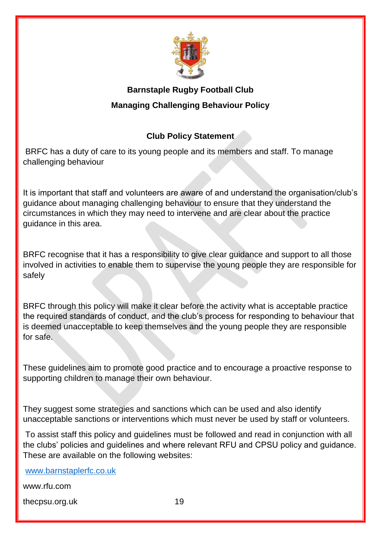

# **Barnstaple Rugby Football Club Managing Challenging Behaviour Policy**

# **Club Policy Statement**

BRFC has a duty of care to its young people and its members and staff. To manage challenging behaviour

It is important that staff and volunteers are aware of and understand the organisation/club's guidance about managing challenging behaviour to ensure that they understand the circumstances in which they may need to intervene and are clear about the practice guidance in this area.

BRFC recognise that it has a responsibility to give clear guidance and support to all those involved in activities to enable them to supervise the young people they are responsible for safely

BRFC through this policy will make it clear before the activity what is acceptable practice the required standards of conduct, and the club's process for responding to behaviour that is deemed unacceptable to keep themselves and the young people they are responsible for safe.

These guidelines aim to promote good practice and to encourage a proactive response to supporting children to manage their own behaviour.

They suggest some strategies and sanctions which can be used and also identify unacceptable sanctions or interventions which must never be used by staff or volunteers.

To assist staff this policy and guidelines must be followed and read in conjunction with all the clubs' policies and guidelines and where relevant RFU and CPSU policy and guidance. These are available on the following websites:

[www.barnstaplerfc.co.uk](http://www.barnstaplerfc.co.uk/) 

www.rfu.com

thecpsu.org.uk 19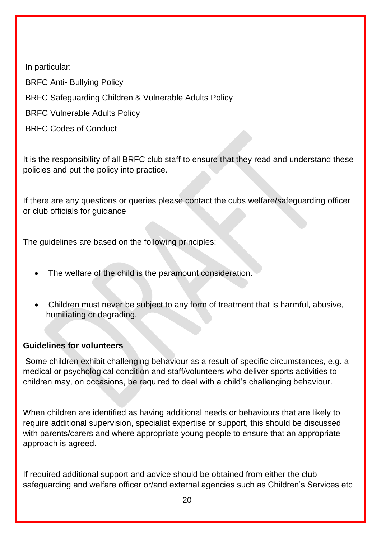In particular:

BRFC Anti- Bullying Policy

BRFC Safeguarding Children & Vulnerable Adults Policy

BRFC Vulnerable Adults Policy

BRFC Codes of Conduct

It is the responsibility of all BRFC club staff to ensure that they read and understand these policies and put the policy into practice.

If there are any questions or queries please contact the cubs welfare/safeguarding officer or club officials for guidance

The guidelines are based on the following principles:

- The welfare of the child is the paramount consideration.
- Children must never be subject to any form of treatment that is harmful, abusive, humiliating or degrading.

## **Guidelines for volunteers**

Some children exhibit challenging behaviour as a result of specific circumstances, e.g. a medical or psychological condition and staff/volunteers who deliver sports activities to children may, on occasions, be required to deal with a child's challenging behaviour.

When children are identified as having additional needs or behaviours that are likely to require additional supervision, specialist expertise or support, this should be discussed with parents/carers and where appropriate young people to ensure that an appropriate approach is agreed.

If required additional support and advice should be obtained from either the club safeguarding and welfare officer or/and external agencies such as Children's Services etc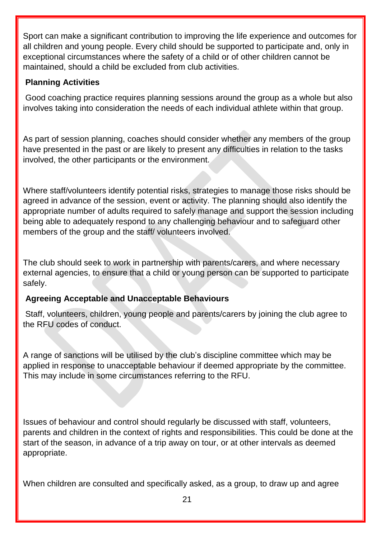Sport can make a significant contribution to improving the life experience and outcomes for all children and young people. Every child should be supported to participate and, only in exceptional circumstances where the safety of a child or of other children cannot be maintained, should a child be excluded from club activities.

#### **Planning Activities**

Good coaching practice requires planning sessions around the group as a whole but also involves taking into consideration the needs of each individual athlete within that group.

As part of session planning, coaches should consider whether any members of the group have presented in the past or are likely to present any difficulties in relation to the tasks involved, the other participants or the environment.

Where staff/volunteers identify potential risks, strategies to manage those risks should be agreed in advance of the session, event or activity. The planning should also identify the appropriate number of adults required to safely manage and support the session including being able to adequately respond to any challenging behaviour and to safeguard other members of the group and the staff/ volunteers involved.

The club should seek to work in partnership with parents/carers, and where necessary external agencies, to ensure that a child or young person can be supported to participate safely.

## **Agreeing Acceptable and Unacceptable Behaviours**

Staff, volunteers, children, young people and parents/carers by joining the club agree to the RFU codes of conduct.

A range of sanctions will be utilised by the club's discipline committee which may be applied in response to unacceptable behaviour if deemed appropriate by the committee. This may include in some circumstances referring to the RFU.

Issues of behaviour and control should regularly be discussed with staff, volunteers, parents and children in the context of rights and responsibilities. This could be done at the start of the season, in advance of a trip away on tour, or at other intervals as deemed appropriate.

When children are consulted and specifically asked, as a group, to draw up and agree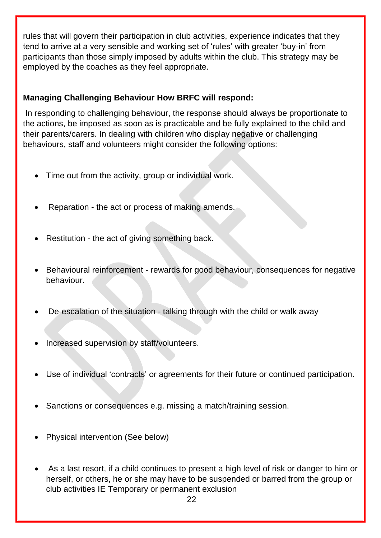rules that will govern their participation in club activities, experience indicates that they tend to arrive at a very sensible and working set of 'rules' with greater 'buy-in' from participants than those simply imposed by adults within the club. This strategy may be employed by the coaches as they feel appropriate.

# **Managing Challenging Behaviour How BRFC will respond:**

In responding to challenging behaviour, the response should always be proportionate to the actions, be imposed as soon as is practicable and be fully explained to the child and their parents/carers. In dealing with children who display negative or challenging behaviours, staff and volunteers might consider the following options:

- Time out from the activity, group or individual work.
- Reparation the act or process of making amends.
- Restitution the act of giving something back.
- Behavioural reinforcement rewards for good behaviour, consequences for negative behaviour.
- De-escalation of the situation talking through with the child or walk away
- Increased supervision by staff/volunteers.
- Use of individual 'contracts' or agreements for their future or continued participation.
- Sanctions or consequences e.g. missing a match/training session.
- Physical intervention (See below)
- As a last resort, if a child continues to present a high level of risk or danger to him or herself, or others, he or she may have to be suspended or barred from the group or club activities IE Temporary or permanent exclusion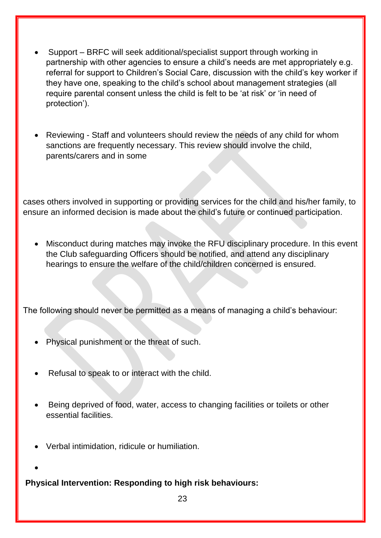- Support BRFC will seek additional/specialist support through working in partnership with other agencies to ensure a child's needs are met appropriately e.g. referral for support to Children's Social Care, discussion with the child's key worker if they have one, speaking to the child's school about management strategies (all require parental consent unless the child is felt to be 'at risk' or 'in need of protection').
- Reviewing Staff and volunteers should review the needs of any child for whom sanctions are frequently necessary. This review should involve the child, parents/carers and in some

cases others involved in supporting or providing services for the child and his/her family, to ensure an informed decision is made about the child's future or continued participation.

 Misconduct during matches may invoke the RFU disciplinary procedure. In this event the Club safeguarding Officers should be notified, and attend any disciplinary hearings to ensure the welfare of the child/children concerned is ensured.

The following should never be permitted as a means of managing a child's behaviour:

- Physical punishment or the threat of such.
- Refusal to speak to or interact with the child.
- Being deprived of food, water, access to changing facilities or toilets or other essential facilities.
- Verbal intimidation, ridicule or humiliation.
- $\bullet$

**Physical Intervention: Responding to high risk behaviours:** 

<u>23 and 23 and 23 and 23 and 23 and 23 and 23 and 23 and 23 and 23 and 23 and 23 and 23 and 23 and 23 and 23 and 23 and 23 and 23 and 23 and 23 and 23 and 23 and 23 and 23 and 23 and 23 and 23 and 23 and 23 and 23 and 23 a</u>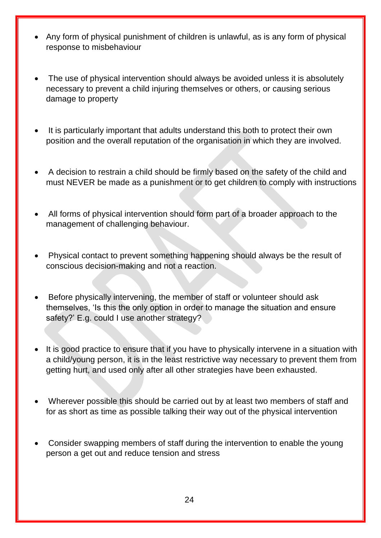- Any form of physical punishment of children is unlawful, as is any form of physical response to misbehaviour
- The use of physical intervention should always be avoided unless it is absolutely necessary to prevent a child injuring themselves or others, or causing serious damage to property
- It is particularly important that adults understand this both to protect their own position and the overall reputation of the organisation in which they are involved.
- A decision to restrain a child should be firmly based on the safety of the child and must NEVER be made as a punishment or to get children to comply with instructions
- All forms of physical intervention should form part of a broader approach to the management of challenging behaviour.
- Physical contact to prevent something happening should always be the result of conscious decision-making and not a reaction.
- Before physically intervening, the member of staff or volunteer should ask themselves, 'Is this the only option in order to manage the situation and ensure safety?' E.g. could I use another strategy?
- It is good practice to ensure that if you have to physically intervene in a situation with a child/young person, it is in the least restrictive way necessary to prevent them from getting hurt, and used only after all other strategies have been exhausted.
- Wherever possible this should be carried out by at least two members of staff and for as short as time as possible talking their way out of the physical intervention
- Consider swapping members of staff during the intervention to enable the young person a get out and reduce tension and stress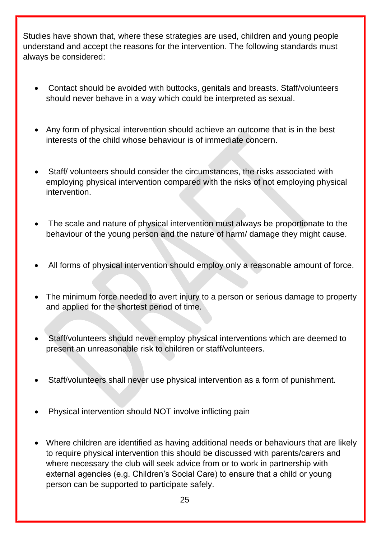Studies have shown that, where these strategies are used, children and young people understand and accept the reasons for the intervention. The following standards must always be considered:

- Contact should be avoided with buttocks, genitals and breasts. Staff/volunteers should never behave in a way which could be interpreted as sexual.
- Any form of physical intervention should achieve an outcome that is in the best interests of the child whose behaviour is of immediate concern.
- Staff/ volunteers should consider the circumstances, the risks associated with employing physical intervention compared with the risks of not employing physical intervention.
- The scale and nature of physical intervention must always be proportionate to the behaviour of the young person and the nature of harm/ damage they might cause.
- All forms of physical intervention should employ only a reasonable amount of force.
- The minimum force needed to avert injury to a person or serious damage to property and applied for the shortest period of time.
- Staff/volunteers should never employ physical interventions which are deemed to present an unreasonable risk to children or staff/volunteers.
- Staff/volunteers shall never use physical intervention as a form of punishment.
- Physical intervention should NOT involve inflicting pain
- Where children are identified as having additional needs or behaviours that are likely to require physical intervention this should be discussed with parents/carers and where necessary the club will seek advice from or to work in partnership with external agencies (e.g. Children's Social Care) to ensure that a child or young person can be supported to participate safely.